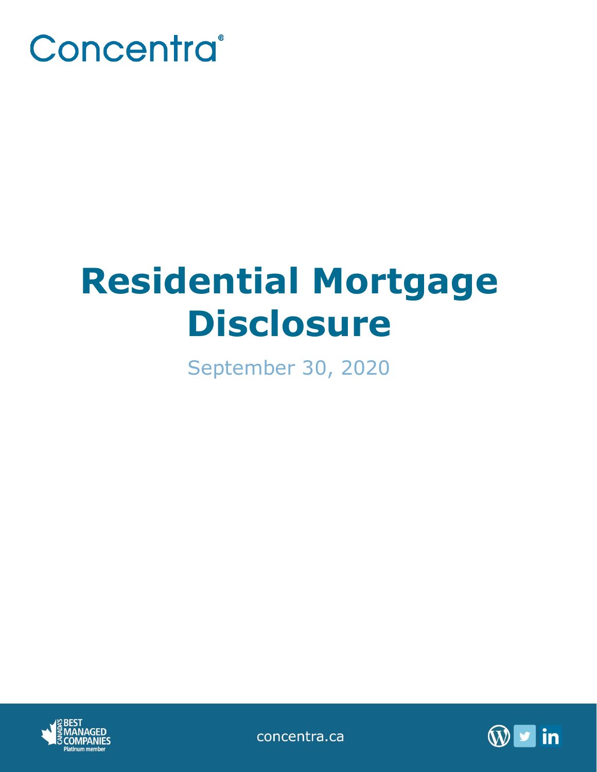

# **Residential Mortgage Disclosure**

September 30, 2020



concentra.ca

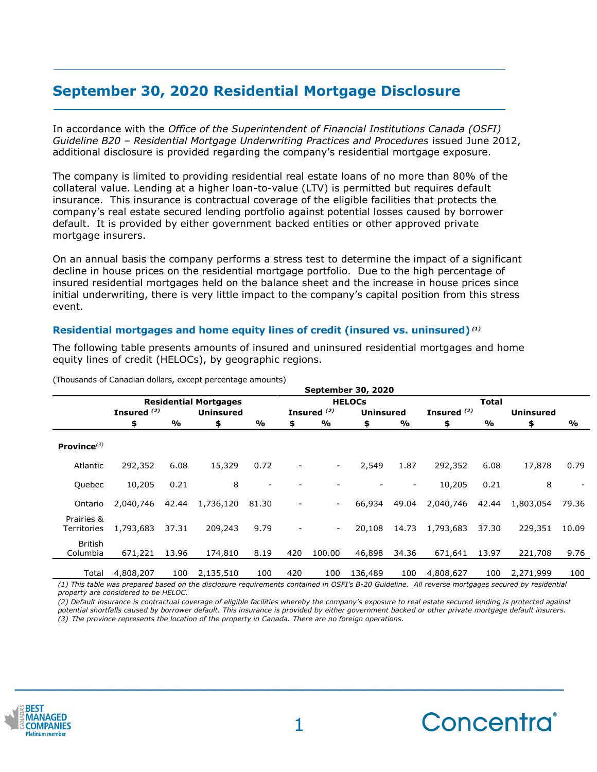# **September 30, 2020 Residential Mortgage Disclosure**

In accordance with the *Office of the Superintendent of Financial Institutions Canada (OSFI) Guideline B20 – Residential Mortgage Underwriting Practices and Procedures* issued June 2012, additional disclosure is provided regarding the company's residential mortgage exposure.

The company is limited to providing residential real estate loans of no more than 80% of the collateral value. Lending at a higher loan-to-value (LTV) is permitted but requires default insurance. This insurance is contractual coverage of the eligible facilities that protects the company's real estate secured lending portfolio against potential losses caused by borrower default. It is provided by either government backed entities or other approved private mortgage insurers.

On an annual basis the company performs a stress test to determine the impact of a significant decline in house prices on the residential mortgage portfolio. Due to the high percentage of insured residential mortgages held on the balance sheet and the increase in house prices since initial underwriting, there is very little impact to the company's capital position from this stress event.

## **Residential mortgages and home equity lines of credit (insured vs. uninsured)** *(1)*

The following table presents amounts of insured and uninsured residential mortgages and home equity lines of credit (HELOCs), by geographic regions.

|                            | <b>September 30, 2020</b>    |       |                  |                          |                |                          |                  |       |               |       |                  |       |
|----------------------------|------------------------------|-------|------------------|--------------------------|----------------|--------------------------|------------------|-------|---------------|-------|------------------|-------|
|                            | <b>Residential Mortgages</b> |       |                  |                          | <b>HELOCS</b>  |                          |                  |       | <b>Total</b>  |       |                  |       |
|                            | Insured <sup>(2)</sup>       |       | <b>Uninsured</b> |                          |                | Insured <sup>(2)</sup>   | <b>Uninsured</b> |       | Insured $(2)$ |       | <b>Uninsured</b> |       |
|                            | \$                           | %     | \$               | $\frac{0}{0}$            | \$             | %                        | \$               | %     | \$            | %     | \$               | %     |
| Province $(3)$             |                              |       |                  |                          |                |                          |                  |       |               |       |                  |       |
| Atlantic                   | 292,352                      | 6.08  | 15,329           | 0.72                     |                | $\overline{\phantom{a}}$ | 2,549            | 1.87  | 292,352       | 6.08  | 17,878           | 0.79  |
| Quebec                     | 10,205                       | 0.21  | 8                | $\overline{\phantom{a}}$ |                |                          |                  | -     | 10,205        | 0.21  | 8                |       |
| Ontario                    | 2,040,746                    | 42.44 | 1,736,120        | 81.30                    | $\overline{a}$ | $\overline{\phantom{a}}$ | 66,934           | 49.04 | 2,040,746     | 42.44 | 1,803,054        | 79.36 |
| Prairies &<br>Territories  | 1,793,683                    | 37.31 | 209,243          | 9.79                     |                | $\overline{\phantom{a}}$ | 20,108           | 14.73 | 1,793,683     | 37.30 | 229,351          | 10.09 |
| <b>British</b><br>Columbia | 671,221                      | 13.96 | 174,810          | 8.19                     | 420            | 100.00                   | 46,898           | 34.36 | 671,641       | 13.97 | 221,708          | 9.76  |
| Total                      | 4,808,207                    | 100   | 2,135,510        | 100                      | 420            | 100                      | 136,489          | 100   | 4,808,627     | 100   | 2,271,999        | 100   |

(Thousands of Canadian dollars, except percentage amounts)

*(1) This table was prepared based on the disclosure requirements contained in OSFI's B-20 Guideline. All reverse mortgages secured by residential property are considered to be HELOC.*

*(2) Default insurance is contractual coverage of eligible facilities whereby the company's exposure to real estate secured lending is protected against potential shortfalls caused by borrower default. This insurance is provided by either government backed or other private mortgage default insurers. (3) The province represents the location of the property in Canada. There are no foreign operations.*



**\_\_\_\_\_\_\_\_\_\_\_\_\_\_\_\_\_\_\_\_\_\_\_\_\_\_\_\_\_\_\_\_\_\_\_\_\_\_\_\_\_\_\_\_**